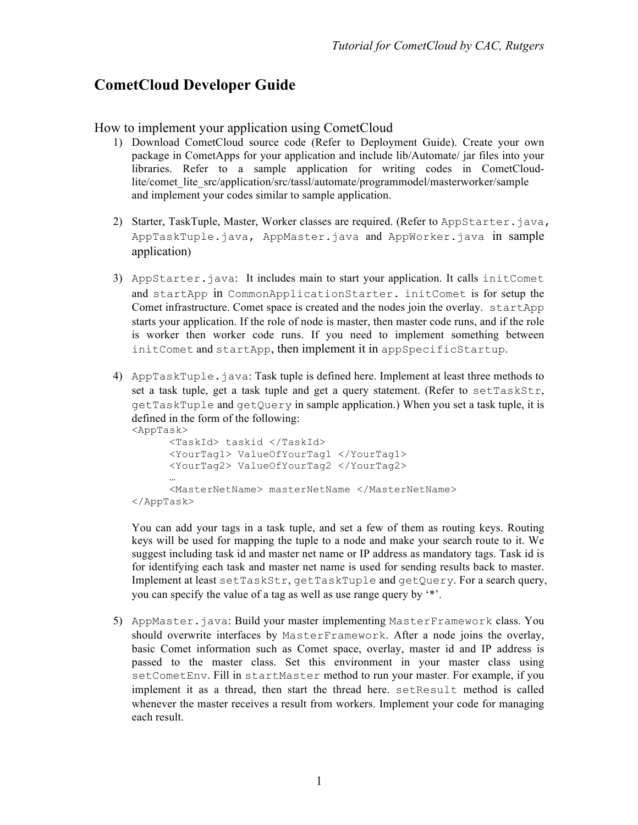# **CometCloud Developer Guide**

#### How to implement your application using CometCloud

- 1) Download CometCloud source code (Refer to Deployment Guide). Create your own package in CometApps for your application and include lib/Automate/ jar files into your libraries. Refer to a sample application for writing codes in CometCloudlite/comet lite src/application/src/tassl/automate/programmodel/masterworker/sample and implement your codes similar to sample application.
- 2) Starter, TaskTuple, Master, Worker classes are required. (Refer to AppStarter.java, AppTaskTuple.java, AppMaster.java and AppWorker.java in sample application)
- 3) AppStarter.java: It includes main to start your application. It calls initComet and startApp in CommonApplicationStarter. initComet is for setup the Comet infrastructure. Comet space is created and the nodes join the overlay. startApp starts your application. If the role of node is master, then master code runs, and if the role is worker then worker code runs. If you need to implement something between initComet and startApp, then implement it in appSpecificStartup.
- 4) AppTaskTuple.java: Task tuple is defined here. Implement at least three methods to set a task tuple, get a task tuple and get a query statement. (Refer to setTaskStr, getTaskTuple and getQuery in sample application.) When you set a task tuple, it is defined in the form of the following: <AppTask>

```
<TaskId> taskid </TaskId>
      <YourTag1> ValueOfYourTag1 </YourTag1>
      <YourTag2> ValueOfYourTag2 </YourTag2>
      …
      <MasterNetName> masterNetName </MasterNetName>
</AppTask>
```
You can add your tags in a task tuple, and set a few of them as routing keys. Routing keys will be used for mapping the tuple to a node and make your search route to it. We suggest including task id and master net name or IP address as mandatory tags. Task id is for identifying each task and master net name is used for sending results back to master. Implement at least setTaskStr, getTaskTuple and getQuery. For a search query, you can specify the value of a tag as well as use range query by '\*'.

5) AppMaster.java: Build your master implementing MasterFramework class. You should overwrite interfaces by MasterFramework. After a node joins the overlay, basic Comet information such as Comet space, overlay, master id and IP address is passed to the master class. Set this environment in your master class using setCometEnv. Fill in startMaster method to run your master. For example, if you implement it as a thread, then start the thread here. setResult method is called whenever the master receives a result from workers. Implement your code for managing each result.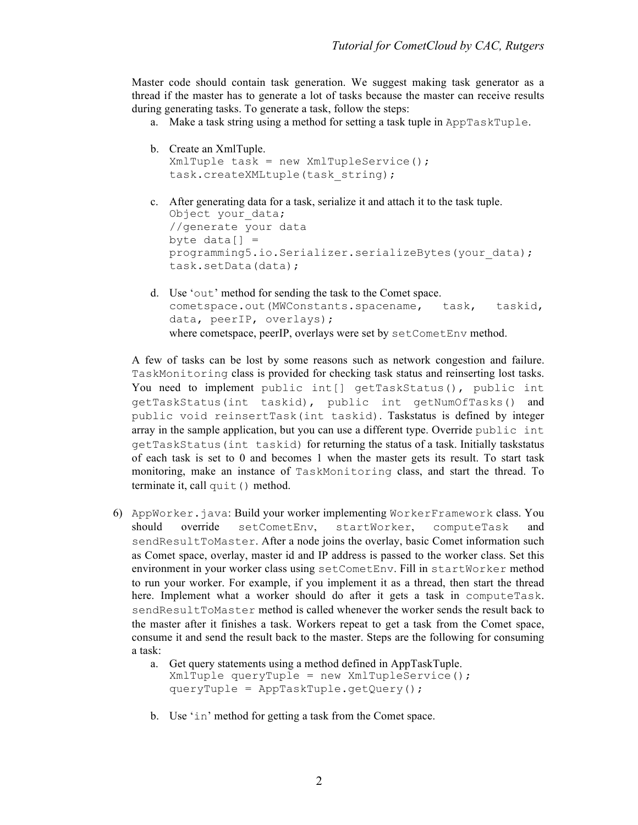Master code should contain task generation. We suggest making task generator as a thread if the master has to generate a lot of tasks because the master can receive results during generating tasks. To generate a task, follow the steps:

a. Make a task string using a method for setting a task tuple in AppTaskTuple.

```
b. Create an XmlTuple.
  Xm1Tuple task = new XMLTupleService();
   task.createXMLtuple(task_string);
```
- c. After generating data for a task, serialize it and attach it to the task tuple. Object your data; //generate your data byte  $data[] =$ programming5.io.Serializer.serializeBytes(your\_data); task.setData(data);
- d. Use 'out' method for sending the task to the Comet space. cometspace.out(MWConstants.spacename, task, taskid, data, peerIP, overlays); where cometspace, peerIP, overlays were set by setCometEnv method.

A few of tasks can be lost by some reasons such as network congestion and failure. TaskMonitoring class is provided for checking task status and reinserting lost tasks. You need to implement public int[] getTaskStatus(), public int getTaskStatus(int taskid), public int getNumOfTasks() and public void reinsertTask(int taskid). Taskstatus is defined by integer array in the sample application, but you can use a different type. Override public int getTaskStatus(int taskid) for returning the status of a task. Initially taskstatus of each task is set to 0 and becomes 1 when the master gets its result. To start task monitoring, make an instance of TaskMonitoring class, and start the thread. To terminate it, call quit() method.

- 6) AppWorker.java: Build your worker implementing WorkerFramework class. You should override setCometEnv, startWorker, computeTask and sendResultToMaster. After a node joins the overlay, basic Comet information such as Comet space, overlay, master id and IP address is passed to the worker class. Set this environment in your worker class using setCometEnv. Fill in startWorker method to run your worker. For example, if you implement it as a thread, then start the thread here. Implement what a worker should do after it gets a task in computeTask. sendResultToMaster method is called whenever the worker sends the result back to the master after it finishes a task. Workers repeat to get a task from the Comet space, consume it and send the result back to the master. Steps are the following for consuming a task:
	- a. Get query statements using a method defined in AppTaskTuple. XmlTuple queryTuple = new XmlTupleService(); queryTuple = AppTaskTuple.getQuery();
	- b. Use 'in' method for getting a task from the Comet space.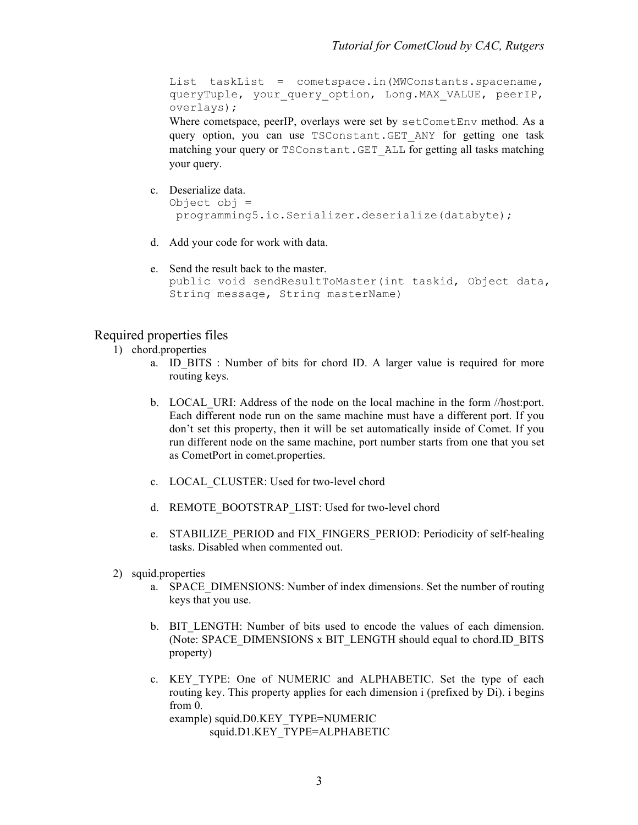List taskList = cometspace.in(MWConstants.spacename, queryTuple, your query option, Long.MAX VALUE, peerIP, overlays);

Where cometspace, peerIP, overlays were set by setCometEnv method. As a query option, you can use TSConstant.GET\_ANY for getting one task matching your query or TSConstant.GET\_ALL for getting all tasks matching your query.

- c. Deserialize data. Object obj = programming5.io.Serializer.deserialize(databyte);
- d. Add your code for work with data.
- e. Send the result back to the master. public void sendResultToMaster(int taskid, Object data, String message, String masterName)

### Required properties files

- 1) chord.properties
	- a. ID\_BITS : Number of bits for chord ID. A larger value is required for more routing keys.
	- b. LOCAL\_URI: Address of the node on the local machine in the form //host:port. Each different node run on the same machine must have a different port. If you don't set this property, then it will be set automatically inside of Comet. If you run different node on the same machine, port number starts from one that you set as CometPort in comet.properties.
	- c. LOCAL\_CLUSTER: Used for two-level chord
	- d. REMOTE\_BOOTSTRAP\_LIST: Used for two-level chord
	- e. STABILIZE\_PERIOD and FIX\_FINGERS\_PERIOD: Periodicity of self-healing tasks. Disabled when commented out.
- 2) squid.properties
	- a. SPACE\_DIMENSIONS: Number of index dimensions. Set the number of routing keys that you use.
	- b. BIT LENGTH: Number of bits used to encode the values of each dimension. (Note: SPACE\_DIMENSIONS x BIT\_LENGTH should equal to chord.ID\_BITS property)
	- c. KEY\_TYPE: One of NUMERIC and ALPHABETIC. Set the type of each routing key. This property applies for each dimension i (prefixed by Di). i begins from 0. example) squid.D0.KEY\_TYPE=NUMERIC squid.D1.KEY\_TYPE=ALPHABETIC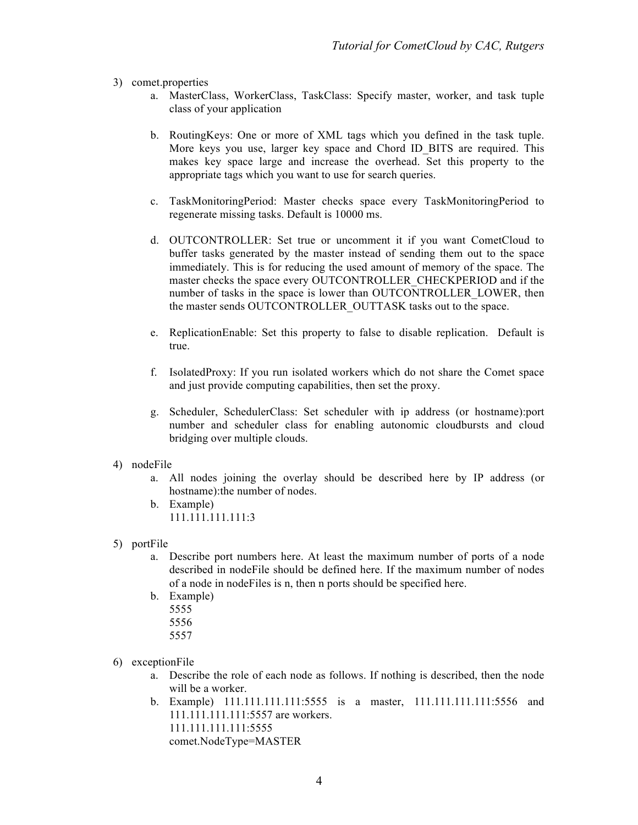- 3) comet.properties
	- a. MasterClass, WorkerClass, TaskClass: Specify master, worker, and task tuple class of your application
	- b. RoutingKeys: One or more of XML tags which you defined in the task tuple. More keys you use, larger key space and Chord ID\_BITS are required. This makes key space large and increase the overhead. Set this property to the appropriate tags which you want to use for search queries.
	- c. TaskMonitoringPeriod: Master checks space every TaskMonitoringPeriod to regenerate missing tasks. Default is 10000 ms.
	- d. OUTCONTROLLER: Set true or uncomment it if you want CometCloud to buffer tasks generated by the master instead of sending them out to the space immediately. This is for reducing the used amount of memory of the space. The master checks the space every OUTCONTROLLER\_CHECKPERIOD and if the number of tasks in the space is lower than OUTCONTROLLER\_LOWER, then the master sends OUTCONTROLLER\_OUTTASK tasks out to the space.
	- e. ReplicationEnable: Set this property to false to disable replication. Default is true.
	- f. IsolatedProxy: If you run isolated workers which do not share the Comet space and just provide computing capabilities, then set the proxy.
	- g. Scheduler, SchedulerClass: Set scheduler with ip address (or hostname):port number and scheduler class for enabling autonomic cloudbursts and cloud bridging over multiple clouds.
- 4) nodeFile
	- a. All nodes joining the overlay should be described here by IP address (or hostname): the number of nodes.
	- b. Example) 111.111.111.111:3
- 5) portFile
	- a. Describe port numbers here. At least the maximum number of ports of a node described in nodeFile should be defined here. If the maximum number of nodes of a node in nodeFiles is n, then n ports should be specified here.
	- b. Example) 5555
		- 5556
		- 5557
- 6) exceptionFile
	- a. Describe the role of each node as follows. If nothing is described, then the node will be a worker.
	- b. Example) 111.111.111.111:5555 is a master, 111.111.111.111:5556 and 111.111.111.111:5557 are workers. 111.111.111.111:5555 comet.NodeType=MASTER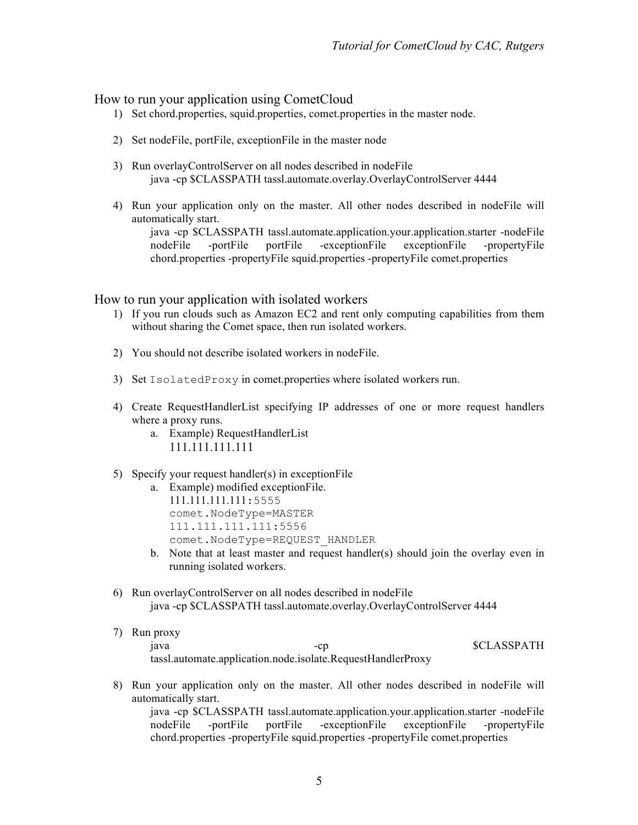### How to run your application using CometCloud

- 1) Set chord.properties, squid.properties, comet.properties in the master node.
- 2) Set nodeFile, portFile, exceptionFile in the master node
- 3) Run overlayControlServer on all nodes described in nodeFile java -cp \$CLASSPATH tassl.automate.overlay.OverlayControlServer 4444
- 4) Run your application only on the master. All other nodes described in nodeFile will automatically start.

java -cp \$CLASSPATH tassl.automate.application.your.application.starter -nodeFile nodeFile -portFile portFile -exceptionFile exceptionFile -propertyFile chord.properties -propertyFile squid.properties -propertyFile comet.properties

How to run your application with isolated workers

- 1) If you run clouds such as Amazon EC2 and rent only computing capabilities from them without sharing the Comet space, then run isolated workers.
- 2) You should not describe isolated workers in nodeFile.
- 3) Set IsolatedProxy in comet.properties where isolated workers run.
- 4) Create RequestHandlerList specifying IP addresses of one or more request handlers where a proxy runs.
	- a. Example) RequestHandlerList 111.111.111.111
- 5) Specify your request handler(s) in exceptionFile
	- a. Example) modified exceptionFile. 111.111.111.111:5555 comet.NodeType=MASTER 111.111.111.111:5556 comet.NodeType=REQUEST\_HANDLER
	- b. Note that at least master and request handler(s) should join the overlay even in running isolated workers.
- 6) Run overlayControlServer on all nodes described in nodeFile java -cp \$CLASSPATH tassl.automate.overlay.OverlayControlServer 4444
- 7) Run proxy java -cp \$CLASSPATH tassl.automate.application.node.isolate.RequestHandlerProxy
- 8) Run your application only on the master. All other nodes described in node File will automatically start. java -cp \$CLASSPATH tassl.automate.application.your.application.starter -nodeFile

nodeFile -portFile portFile -exceptionFile exceptionFile -propertyFile chord.properties -propertyFile squid.properties -propertyFile comet.properties